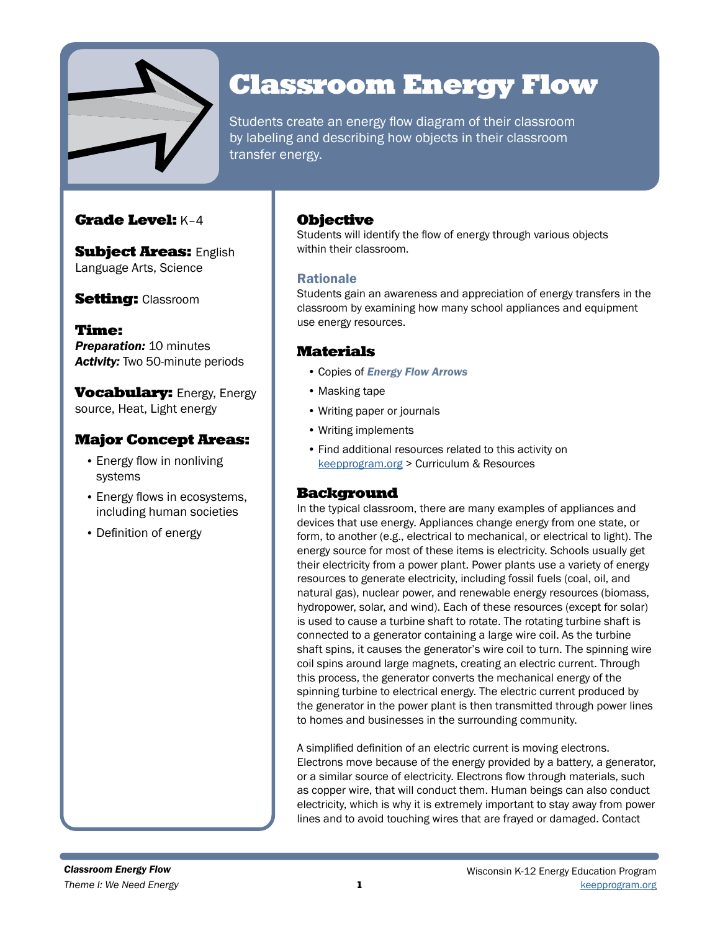

# Classroom Energy Flow

Students create an energy flow diagram of their classroom by labeling and describing how objects in their classroom transfer energy.

# Grade Level: K–4

**Subject Areas: English** Language Arts, Science

**Setting: Classroom** 

Time: **Preparation: 10 minutes** *Activity:* Two 50-minute periods

**Vocabulary:** Energy, Energy source, Heat, Light energy

# Major Concept Areas:

- Energy flow in nonliving systems
- Energy flows in ecosystems, including human societies
- Definition of energy

## **Objective**

Students will identify the flow of energy through various objects within their classroom.

## Rationale

Students gain an awareness and appreciation of energy transfers in the classroom by examining how many school appliances and equipment use energy resources.

# Materials

- Copies of *Energy Flow Arrows*
- Masking tape
- Writing paper or journals
- Writing implements
- Find additional resources related to this activity on [keepprogram.org](http://keepprogram.org) > Curriculum & Resources

# **Background**

In the typical classroom, there are many examples of appliances and devices that use energy. Appliances change energy from one state, or form, to another (e.g., electrical to mechanical, or electrical to light). The energy source for most of these items is electricity. Schools usually get their electricity from a power plant. Power plants use a variety of energy resources to generate electricity, including fossil fuels (coal, oil, and natural gas), nuclear power, and renewable energy resources (biomass, hydropower, solar, and wind). Each of these resources (except for solar) is used to cause a turbine shaft to rotate. The rotating turbine shaft is connected to a generator containing a large wire coil. As the turbine shaft spins, it causes the generator's wire coil to turn. The spinning wire coil spins around large magnets, creating an electric current. Through this process, the generator converts the mechanical energy of the spinning turbine to electrical energy. The electric current produced by the generator in the power plant is then transmitted through power lines to homes and businesses in the surrounding community.

A simplified definition of an electric current is moving electrons. Electrons move because of the energy provided by a battery, a generator, or a similar source of electricity. Electrons flow through materials, such as copper wire, that will conduct them. Human beings can also conduct electricity, which is why it is extremely important to stay away from power lines and to avoid touching wires that are frayed or damaged. Contact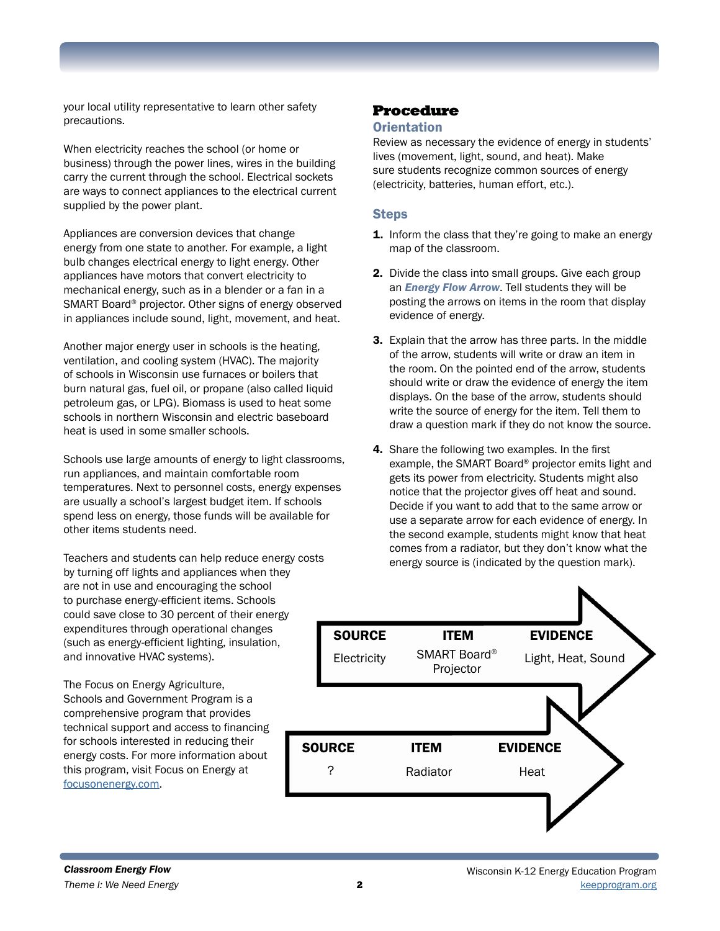your local utility representative to learn other safety precautions.

When electricity reaches the school (or home or business) through the power lines, wires in the building carry the current through the school. Electrical sockets are ways to connect appliances to the electrical current supplied by the power plant.

Appliances are conversion devices that change energy from one state to another. For example, a light bulb changes electrical energy to light energy. Other appliances have motors that convert electricity to mechanical energy, such as in a blender or a fan in a SMART Board® projector. Other signs of energy observed in appliances include sound, light, movement, and heat.

Another major energy user in schools is the heating, ventilation, and cooling system (HVAC). The majority of schools in Wisconsin use furnaces or boilers that burn natural gas, fuel oil, or propane (also called liquid petroleum gas, or LPG). Biomass is used to heat some schools in northern Wisconsin and electric baseboard heat is used in some smaller schools.

Schools use large amounts of energy to light classrooms, run appliances, and maintain comfortable room temperatures. Next to personnel costs, energy expenses are usually a school's largest budget item. If schools spend less on energy, those funds will be available for other items students need.

Teachers and students can help reduce energy costs by turning off lights and appliances when they are not in use and encouraging the school to purchase energy-efficient items. Schools could save close to 30 percent of their energy expenditures through operational changes (such as energy-efficient lighting, insulation, and innovative HVAC systems).

The Focus on Energy Agriculture, Schools and Government Program is a comprehensive program that provides technical support and access to financing for schools interested in reducing their energy costs. For more information about this program, visit Focus on Energy at [focusonenergy.com](http://focusonenergy.com).

# Procedure

#### **Orientation**

Review as necessary the evidence of energy in students' lives (movement, light, sound, and heat). Make sure students recognize common sources of energy (electricity, batteries, human effort, etc.).

#### **Steps**

- **1.** Inform the class that they're going to make an energy map of the classroom.
- 2. Divide the class into small groups. Give each group an *Energy Flow Arrow*. Tell students they will be posting the arrows on items in the room that display evidence of energy.
- 3. Explain that the arrow has three parts. In the middle of the arrow, students will write or draw an item in the room. On the pointed end of the arrow, students should write or draw the evidence of energy the item displays. On the base of the arrow, students should write the source of energy for the item. Tell them to draw a question mark if they do not know the source.
- 4. Share the following two examples. In the first example, the SMART Board® projector emits light and gets its power from electricity. Students might also notice that the projector gives off heat and sound. Decide if you want to add that to the same arrow or use a separate arrow for each evidence of energy. In the second example, students might know that heat comes from a radiator, but they don't know what the energy source is (indicated by the question mark).

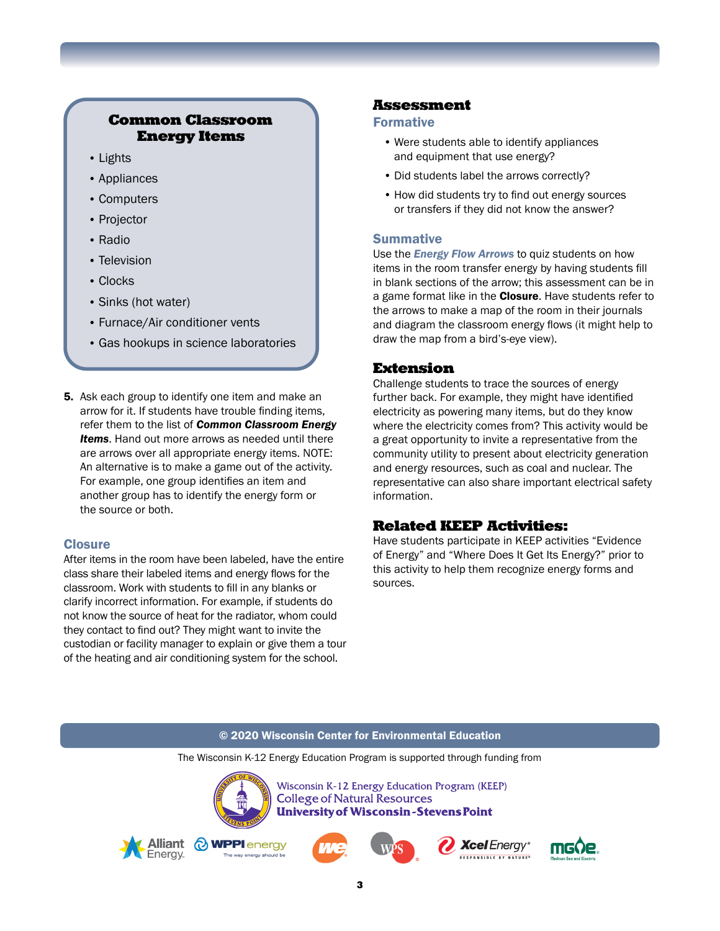# Common Classroom Energy Items

- Lights
- Appliances
- Computers
- Projector
- Radio
- Television
- Clocks
- Sinks (hot water)
- Furnace/Air conditioner vents
- Gas hookups in science laboratories
- 5. Ask each group to identify one item and make an arrow for it. If students have trouble finding items, refer them to the list of *Common Classroom Energy Items*. Hand out more arrows as needed until there are arrows over all appropriate energy items. NOTE: An alternative is to make a game out of the activity. For example, one group identifies an item and another group has to identify the energy form or the source or both.

#### **Closure**

After items in the room have been labeled, have the entire class share their labeled items and energy flows for the classroom. Work with students to fill in any blanks or clarify incorrect information. For example, if students do not know the source of heat for the radiator, whom could they contact to find out? They might want to invite the custodian or facility manager to explain or give them a tour of the heating and air conditioning system for the school.

**Energy** 

## Assessment

#### Formative

- Were students able to identify appliances and equipment that use energy?
- Did students label the arrows correctly?
- How did students try to find out energy sources or transfers if they did not know the answer?

## **Summative**

Use the *Energy Flow Arrows* to quiz students on how items in the room transfer energy by having students fill in blank sections of the arrow; this assessment can be in a game format like in the **Closure**. Have students refer to the arrows to make a map of the room in their journals and diagram the classroom energy flows (it might help to draw the map from a bird's-eye view).

## Extension

Challenge students to trace the sources of energy further back. For example, they might have identified electricity as powering many items, but do they know where the electricity comes from? This activity would be a great opportunity to invite a representative from the community utility to present about electricity generation and energy resources, such as coal and nuclear. The representative can also share important electrical safety information.

# Related KEEP Activities:

Have students participate in KEEP activities "Evidence of Energy" and "Where Does It Get Its Energy?" prior to this activity to help them recognize energy forms and sources.

#### © 2020 Wisconsin Center for Environmental Education The Wisconsin K-12 Energy Education Program is supported through funding from Wisconsin K-12 Energy Education Program (KEEP) **College of Natural Resources University of Wisconsin-Stevens Point** Alliant **O WPPI** energy **Xcel** Enerav<sup>®</sup>





RESPONSIBLE BY NATURE